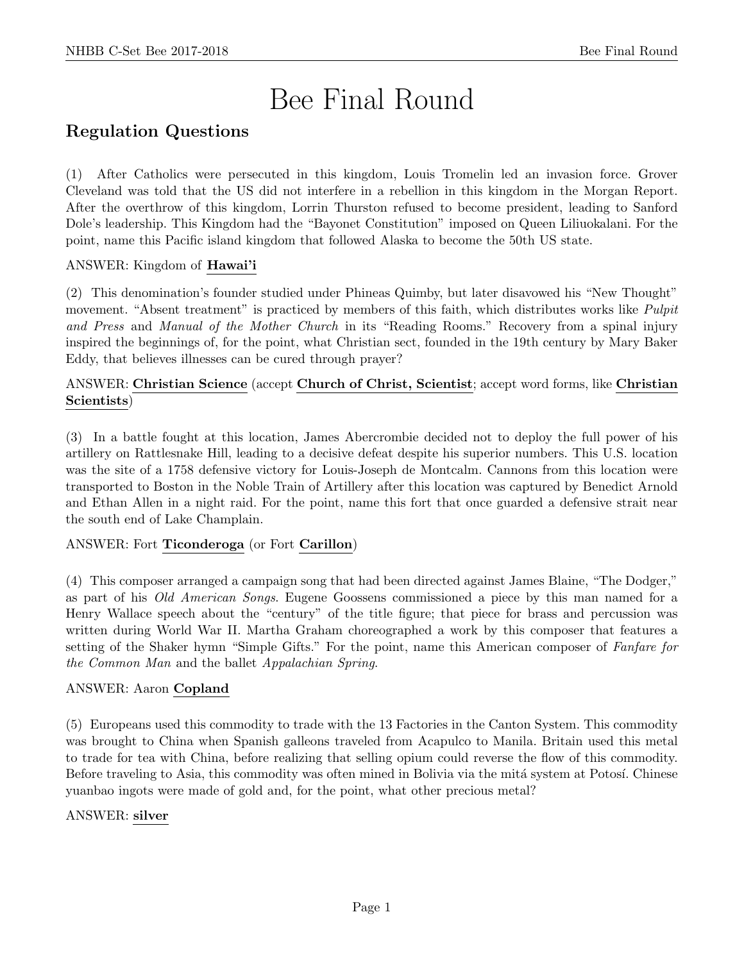# Bee Final Round

# Regulation Questions

(1) After Catholics were persecuted in this kingdom, Louis Tromelin led an invasion force. Grover Cleveland was told that the US did not interfere in a rebellion in this kingdom in the Morgan Report. After the overthrow of this kingdom, Lorrin Thurston refused to become president, leading to Sanford Dole's leadership. This Kingdom had the "Bayonet Constitution" imposed on Queen Liliuokalani. For the point, name this Pacific island kingdom that followed Alaska to become the 50th US state.

# ANSWER: Kingdom of Hawai'i

(2) This denomination's founder studied under Phineas Quimby, but later disavowed his "New Thought" movement. "Absent treatment" is practiced by members of this faith, which distributes works like *Pulpit* and Press and Manual of the Mother Church in its "Reading Rooms." Recovery from a spinal injury inspired the beginnings of, for the point, what Christian sect, founded in the 19th century by Mary Baker Eddy, that believes illnesses can be cured through prayer?

# ANSWER: Christian Science (accept Church of Christ, Scientist; accept word forms, like Christian Scientists)

(3) In a battle fought at this location, James Abercrombie decided not to deploy the full power of his artillery on Rattlesnake Hill, leading to a decisive defeat despite his superior numbers. This U.S. location was the site of a 1758 defensive victory for Louis-Joseph de Montcalm. Cannons from this location were transported to Boston in the Noble Train of Artillery after this location was captured by Benedict Arnold and Ethan Allen in a night raid. For the point, name this fort that once guarded a defensive strait near the south end of Lake Champlain.

# ANSWER: Fort Ticonderoga (or Fort Carillon)

(4) This composer arranged a campaign song that had been directed against James Blaine, "The Dodger," as part of his Old American Songs. Eugene Goossens commissioned a piece by this man named for a Henry Wallace speech about the "century" of the title figure; that piece for brass and percussion was written during World War II. Martha Graham choreographed a work by this composer that features a setting of the Shaker hymn "Simple Gifts." For the point, name this American composer of Fanfare for the Common Man and the ballet Appalachian Spring.

# ANSWER: Aaron Copland

(5) Europeans used this commodity to trade with the 13 Factories in the Canton System. This commodity was brought to China when Spanish galleons traveled from Acapulco to Manila. Britain used this metal to trade for tea with China, before realizing that selling opium could reverse the flow of this commodity. Before traveling to Asia, this commodity was often mined in Bolivia via the mitá system at Potosí. Chinese yuanbao ingots were made of gold and, for the point, what other precious metal?

# ANSWER: silver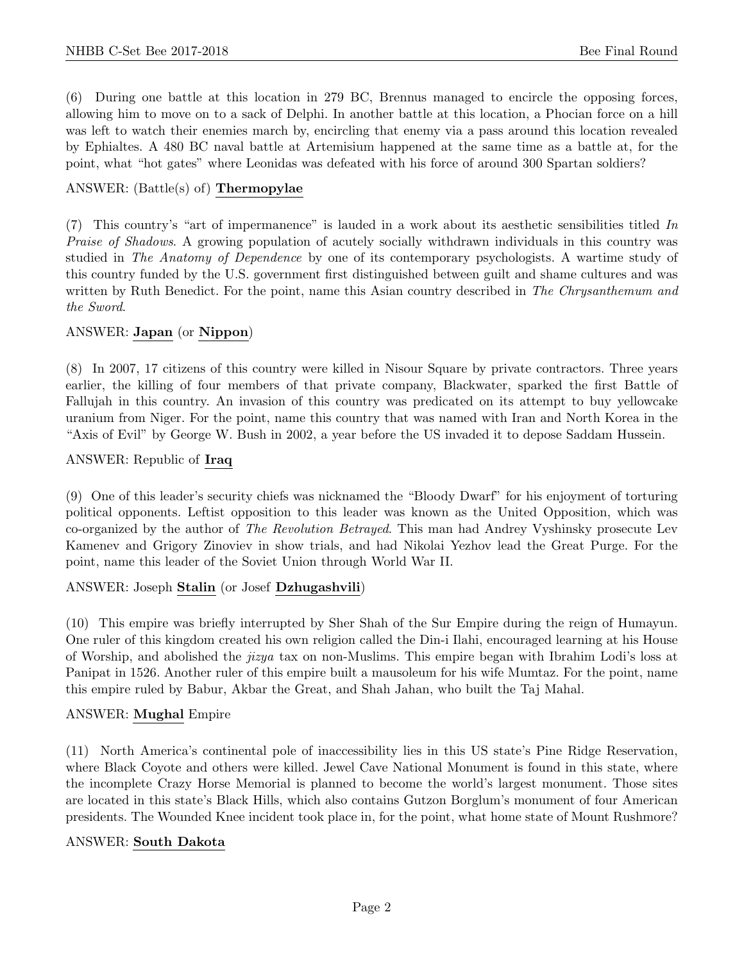(6) During one battle at this location in 279 BC, Brennus managed to encircle the opposing forces, allowing him to move on to a sack of Delphi. In another battle at this location, a Phocian force on a hill was left to watch their enemies march by, encircling that enemy via a pass around this location revealed by Ephialtes. A 480 BC naval battle at Artemisium happened at the same time as a battle at, for the point, what "hot gates" where Leonidas was defeated with his force of around 300 Spartan soldiers?

# ANSWER: (Battle(s) of) Thermopylae

(7) This country's "art of impermanence" is lauded in a work about its aesthetic sensibilities titled In Praise of Shadows. A growing population of acutely socially withdrawn individuals in this country was studied in The Anatomy of Dependence by one of its contemporary psychologists. A wartime study of this country funded by the U.S. government first distinguished between guilt and shame cultures and was written by Ruth Benedict. For the point, name this Asian country described in The Chrysanthemum and the Sword.

#### ANSWER: Japan (or Nippon)

(8) In 2007, 17 citizens of this country were killed in Nisour Square by private contractors. Three years earlier, the killing of four members of that private company, Blackwater, sparked the first Battle of Fallujah in this country. An invasion of this country was predicated on its attempt to buy yellowcake uranium from Niger. For the point, name this country that was named with Iran and North Korea in the "Axis of Evil" by George W. Bush in 2002, a year before the US invaded it to depose Saddam Hussein.

#### ANSWER: Republic of Iraq

(9) One of this leader's security chiefs was nicknamed the "Bloody Dwarf" for his enjoyment of torturing political opponents. Leftist opposition to this leader was known as the United Opposition, which was co-organized by the author of The Revolution Betrayed. This man had Andrey Vyshinsky prosecute Lev Kamenev and Grigory Zinoviev in show trials, and had Nikolai Yezhov lead the Great Purge. For the point, name this leader of the Soviet Union through World War II.

#### ANSWER: Joseph Stalin (or Josef Dzhugashvili)

(10) This empire was briefly interrupted by Sher Shah of the Sur Empire during the reign of Humayun. One ruler of this kingdom created his own religion called the Din-i Ilahi, encouraged learning at his House of Worship, and abolished the jizya tax on non-Muslims. This empire began with Ibrahim Lodi's loss at Panipat in 1526. Another ruler of this empire built a mausoleum for his wife Mumtaz. For the point, name this empire ruled by Babur, Akbar the Great, and Shah Jahan, who built the Taj Mahal.

#### ANSWER: Mughal Empire

(11) North America's continental pole of inaccessibility lies in this US state's Pine Ridge Reservation, where Black Coyote and others were killed. Jewel Cave National Monument is found in this state, where the incomplete Crazy Horse Memorial is planned to become the world's largest monument. Those sites are located in this state's Black Hills, which also contains Gutzon Borglum's monument of four American presidents. The Wounded Knee incident took place in, for the point, what home state of Mount Rushmore?

#### ANSWER: South Dakota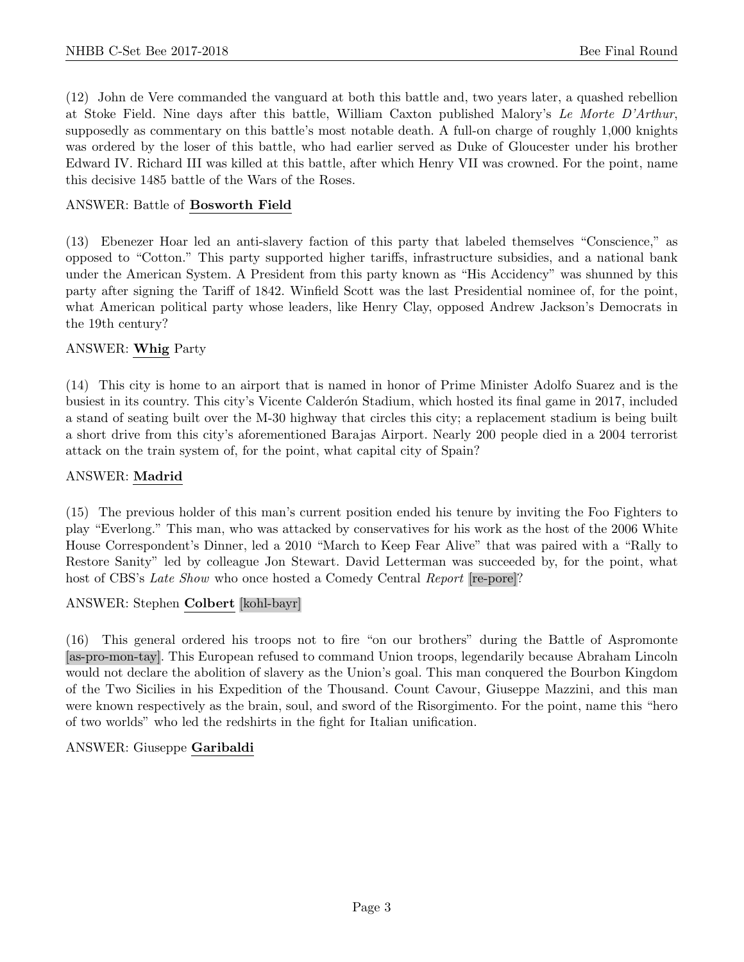(12) John de Vere commanded the vanguard at both this battle and, two years later, a quashed rebellion at Stoke Field. Nine days after this battle, William Caxton published Malory's Le Morte D'Arthur, supposedly as commentary on this battle's most notable death. A full-on charge of roughly 1,000 knights was ordered by the loser of this battle, who had earlier served as Duke of Gloucester under his brother Edward IV. Richard III was killed at this battle, after which Henry VII was crowned. For the point, name this decisive 1485 battle of the Wars of the Roses.

# ANSWER: Battle of Bosworth Field

(13) Ebenezer Hoar led an anti-slavery faction of this party that labeled themselves "Conscience," as opposed to "Cotton." This party supported higher tariffs, infrastructure subsidies, and a national bank under the American System. A President from this party known as "His Accidency" was shunned by this party after signing the Tariff of 1842. Winfield Scott was the last Presidential nominee of, for the point, what American political party whose leaders, like Henry Clay, opposed Andrew Jackson's Democrats in the 19th century?

#### ANSWER: Whig Party

(14) This city is home to an airport that is named in honor of Prime Minister Adolfo Suarez and is the busiest in its country. This city's Vicente Calderon Stadium, which hosted its final game in 2017, included a stand of seating built over the M-30 highway that circles this city; a replacement stadium is being built a short drive from this city's aforementioned Barajas Airport. Nearly 200 people died in a 2004 terrorist attack on the train system of, for the point, what capital city of Spain?

#### ANSWER: Madrid

(15) The previous holder of this man's current position ended his tenure by inviting the Foo Fighters to play "Everlong." This man, who was attacked by conservatives for his work as the host of the 2006 White House Correspondent's Dinner, led a 2010 "March to Keep Fear Alive" that was paired with a "Rally to Restore Sanity" led by colleague Jon Stewart. David Letterman was succeeded by, for the point, what host of CBS's Late Show who once hosted a Comedy Central Report [re-pore]?

#### ANSWER: Stephen Colbert [kohl-bayr]

(16) This general ordered his troops not to fire "on our brothers" during the Battle of Aspromonte [as-pro-mon-tay]. This European refused to command Union troops, legendarily because Abraham Lincoln would not declare the abolition of slavery as the Union's goal. This man conquered the Bourbon Kingdom of the Two Sicilies in his Expedition of the Thousand. Count Cavour, Giuseppe Mazzini, and this man were known respectively as the brain, soul, and sword of the Risorgimento. For the point, name this "hero of two worlds" who led the redshirts in the fight for Italian unification.

#### ANSWER: Giuseppe Garibaldi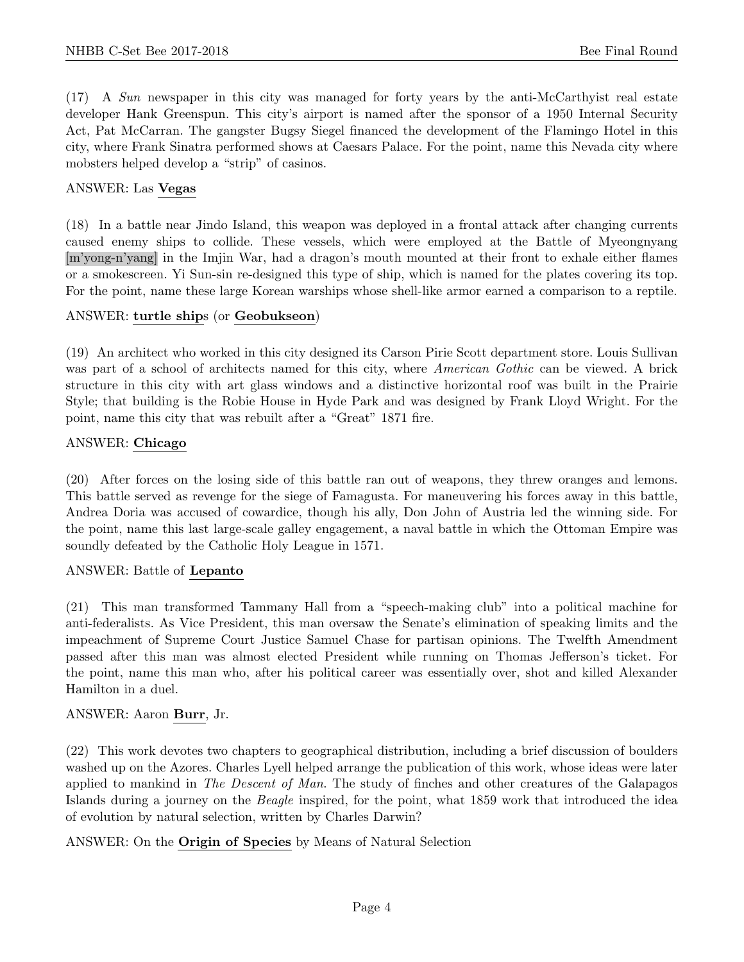(17) A Sun newspaper in this city was managed for forty years by the anti-McCarthyist real estate developer Hank Greenspun. This city's airport is named after the sponsor of a 1950 Internal Security Act, Pat McCarran. The gangster Bugsy Siegel financed the development of the Flamingo Hotel in this city, where Frank Sinatra performed shows at Caesars Palace. For the point, name this Nevada city where mobsters helped develop a "strip" of casinos.

#### ANSWER: Las Vegas

(18) In a battle near Jindo Island, this weapon was deployed in a frontal attack after changing currents caused enemy ships to collide. These vessels, which were employed at the Battle of Myeongnyang [m'yong-n'yang] in the Imjin War, had a dragon's mouth mounted at their front to exhale either flames or a smokescreen. Yi Sun-sin re-designed this type of ship, which is named for the plates covering its top. For the point, name these large Korean warships whose shell-like armor earned a comparison to a reptile.

#### ANSWER: turtle ships (or Geobukseon)

(19) An architect who worked in this city designed its Carson Pirie Scott department store. Louis Sullivan was part of a school of architects named for this city, where *American Gothic* can be viewed. A brick structure in this city with art glass windows and a distinctive horizontal roof was built in the Prairie Style; that building is the Robie House in Hyde Park and was designed by Frank Lloyd Wright. For the point, name this city that was rebuilt after a "Great" 1871 fire.

#### ANSWER: Chicago

(20) After forces on the losing side of this battle ran out of weapons, they threw oranges and lemons. This battle served as revenge for the siege of Famagusta. For maneuvering his forces away in this battle, Andrea Doria was accused of cowardice, though his ally, Don John of Austria led the winning side. For the point, name this last large-scale galley engagement, a naval battle in which the Ottoman Empire was soundly defeated by the Catholic Holy League in 1571.

#### ANSWER: Battle of Lepanto

(21) This man transformed Tammany Hall from a "speech-making club" into a political machine for anti-federalists. As Vice President, this man oversaw the Senate's elimination of speaking limits and the impeachment of Supreme Court Justice Samuel Chase for partisan opinions. The Twelfth Amendment passed after this man was almost elected President while running on Thomas Jefferson's ticket. For the point, name this man who, after his political career was essentially over, shot and killed Alexander Hamilton in a duel.

# ANSWER: Aaron Burr, Jr.

(22) This work devotes two chapters to geographical distribution, including a brief discussion of boulders washed up on the Azores. Charles Lyell helped arrange the publication of this work, whose ideas were later applied to mankind in The Descent of Man. The study of finches and other creatures of the Galapagos Islands during a journey on the Beagle inspired, for the point, what 1859 work that introduced the idea of evolution by natural selection, written by Charles Darwin?

ANSWER: On the Origin of Species by Means of Natural Selection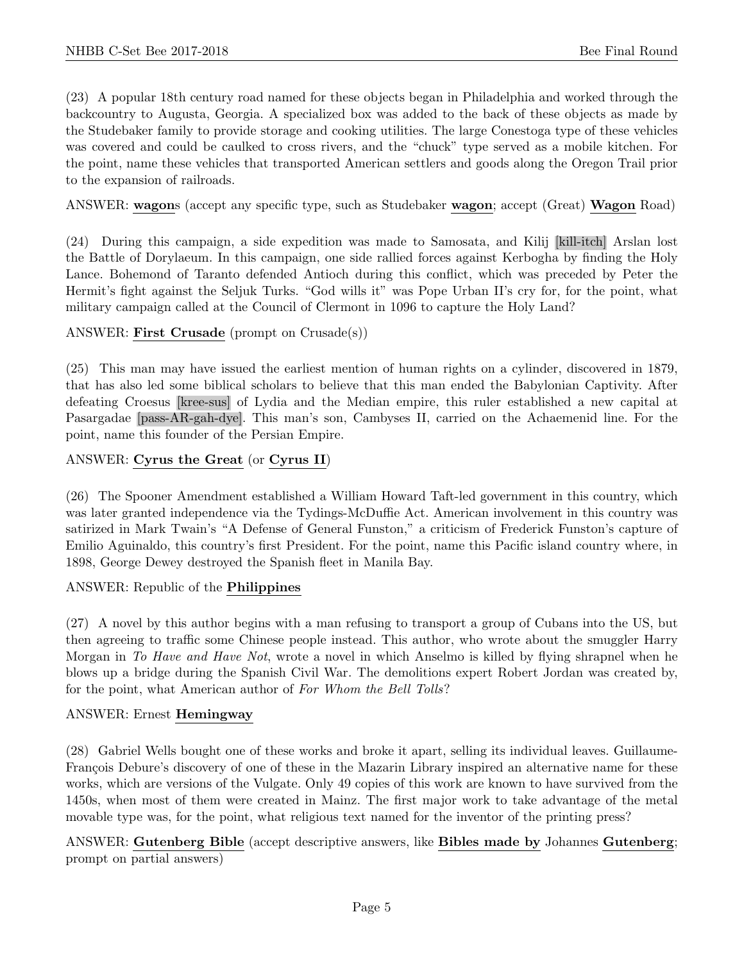(23) A popular 18th century road named for these objects began in Philadelphia and worked through the backcountry to Augusta, Georgia. A specialized box was added to the back of these objects as made by the Studebaker family to provide storage and cooking utilities. The large Conestoga type of these vehicles was covered and could be caulked to cross rivers, and the "chuck" type served as a mobile kitchen. For the point, name these vehicles that transported American settlers and goods along the Oregon Trail prior to the expansion of railroads.

ANSWER: wagons (accept any specific type, such as Studebaker wagon; accept (Great) Wagon Road)

(24) During this campaign, a side expedition was made to Samosata, and Kilij [kill-itch] Arslan lost the Battle of Dorylaeum. In this campaign, one side rallied forces against Kerbogha by finding the Holy Lance. Bohemond of Taranto defended Antioch during this conflict, which was preceded by Peter the Hermit's fight against the Seljuk Turks. "God wills it" was Pope Urban II's cry for, for the point, what military campaign called at the Council of Clermont in 1096 to capture the Holy Land?

ANSWER: First Crusade (prompt on Crusade(s))

(25) This man may have issued the earliest mention of human rights on a cylinder, discovered in 1879, that has also led some biblical scholars to believe that this man ended the Babylonian Captivity. After defeating Croesus [kree-sus] of Lydia and the Median empire, this ruler established a new capital at Pasargadae [pass-AR-gah-dye]. This man's son, Cambyses II, carried on the Achaemenid line. For the point, name this founder of the Persian Empire.

#### ANSWER: Cyrus the Great (or Cyrus II)

(26) The Spooner Amendment established a William Howard Taft-led government in this country, which was later granted independence via the Tydings-McDuffie Act. American involvement in this country was satirized in Mark Twain's "A Defense of General Funston," a criticism of Frederick Funston's capture of Emilio Aguinaldo, this country's first President. For the point, name this Pacific island country where, in 1898, George Dewey destroyed the Spanish fleet in Manila Bay.

ANSWER: Republic of the Philippines

(27) A novel by this author begins with a man refusing to transport a group of Cubans into the US, but then agreeing to traffic some Chinese people instead. This author, who wrote about the smuggler Harry Morgan in To Have and Have Not, wrote a novel in which Anselmo is killed by flying shrapnel when he blows up a bridge during the Spanish Civil War. The demolitions expert Robert Jordan was created by, for the point, what American author of For Whom the Bell Tolls?

#### ANSWER: Ernest Hemingway

(28) Gabriel Wells bought one of these works and broke it apart, selling its individual leaves. Guillaume-François Debure's discovery of one of these in the Mazarin Library inspired an alternative name for these works, which are versions of the Vulgate. Only 49 copies of this work are known to have survived from the 1450s, when most of them were created in Mainz. The first major work to take advantage of the metal movable type was, for the point, what religious text named for the inventor of the printing press?

ANSWER: Gutenberg Bible (accept descriptive answers, like Bibles made by Johannes Gutenberg; prompt on partial answers)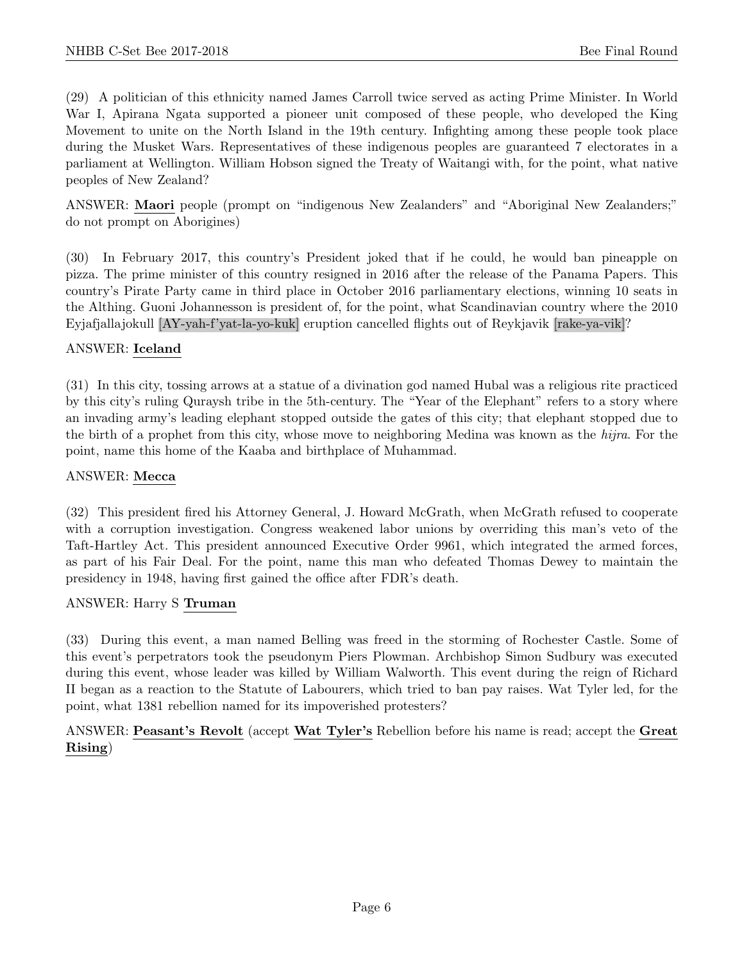(29) A politician of this ethnicity named James Carroll twice served as acting Prime Minister. In World War I, Apirana Ngata supported a pioneer unit composed of these people, who developed the King Movement to unite on the North Island in the 19th century. Infighting among these people took place during the Musket Wars. Representatives of these indigenous peoples are guaranteed 7 electorates in a parliament at Wellington. William Hobson signed the Treaty of Waitangi with, for the point, what native peoples of New Zealand?

ANSWER: Maori people (prompt on "indigenous New Zealanders" and "Aboriginal New Zealanders;" do not prompt on Aborigines)

(30) In February 2017, this country's President joked that if he could, he would ban pineapple on pizza. The prime minister of this country resigned in 2016 after the release of the Panama Papers. This country's Pirate Party came in third place in October 2016 parliamentary elections, winning 10 seats in the Althing. Guoni Johannesson is president of, for the point, what Scandinavian country where the 2010 Eyjafjallajokull [AY-yah-f'yat-la-yo-kuk] eruption cancelled flights out of Reykjavik [rake-ya-vik]?

#### ANSWER: Iceland

(31) In this city, tossing arrows at a statue of a divination god named Hubal was a religious rite practiced by this city's ruling Quraysh tribe in the 5th-century. The "Year of the Elephant" refers to a story where an invading army's leading elephant stopped outside the gates of this city; that elephant stopped due to the birth of a prophet from this city, whose move to neighboring Medina was known as the hijra. For the point, name this home of the Kaaba and birthplace of Muhammad.

#### ANSWER: Mecca

(32) This president fired his Attorney General, J. Howard McGrath, when McGrath refused to cooperate with a corruption investigation. Congress weakened labor unions by overriding this man's veto of the Taft-Hartley Act. This president announced Executive Order 9961, which integrated the armed forces, as part of his Fair Deal. For the point, name this man who defeated Thomas Dewey to maintain the presidency in 1948, having first gained the office after FDR's death.

#### ANSWER: Harry S Truman

(33) During this event, a man named Belling was freed in the storming of Rochester Castle. Some of this event's perpetrators took the pseudonym Piers Plowman. Archbishop Simon Sudbury was executed during this event, whose leader was killed by William Walworth. This event during the reign of Richard II began as a reaction to the Statute of Labourers, which tried to ban pay raises. Wat Tyler led, for the point, what 1381 rebellion named for its impoverished protesters?

ANSWER: Peasant's Revolt (accept Wat Tyler's Rebellion before his name is read; accept the Great Rising)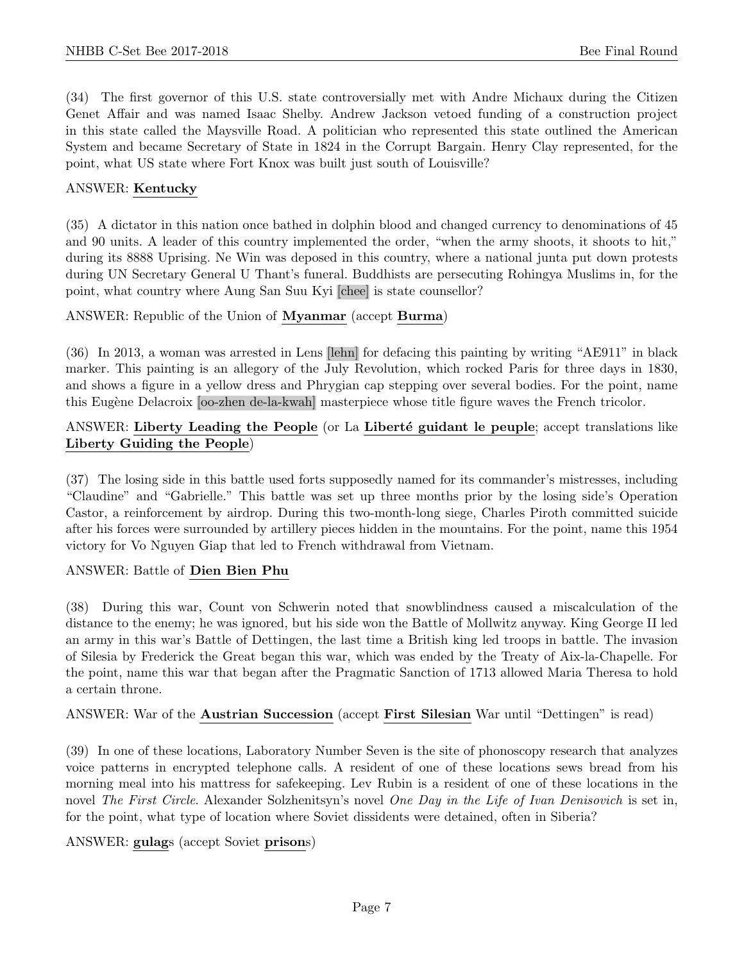(34) The first governor of this U.S. state controversially met with Andre Michaux during the Citizen Genet Affair and was named Isaac Shelby. Andrew Jackson vetoed funding of a construction project in this state called the Maysville Road. A politician who represented this state outlined the American System and became Secretary of State in 1824 in the Corrupt Bargain. Henry Clay represented, for the point, what US state where Fort Knox was built just south of Louisville?

#### ANSWER: Kentucky

(35) A dictator in this nation once bathed in dolphin blood and changed currency to denominations of 45 and 90 units. A leader of this country implemented the order, "when the army shoots, it shoots to hit," during its 8888 Uprising. Ne Win was deposed in this country, where a national junta put down protests during UN Secretary General U Thant's funeral. Buddhists are persecuting Rohingya Muslims in, for the point, what country where Aung San Suu Kyi [chee] is state counsellor?

#### ANSWER: Republic of the Union of Myanmar (accept Burma)

(36) In 2013, a woman was arrested in Lens [lehn] for defacing this painting by writing "AE911" in black marker. This painting is an allegory of the July Revolution, which rocked Paris for three days in 1830, and shows a figure in a yellow dress and Phrygian cap stepping over several bodies. For the point, name this Eugène Delacroix [oo-zhen de-la-kwah] masterpiece whose title figure waves the French tricolor.

# ANSWER: Liberty Leading the People (or La Liberté guidant le peuple; accept translations like Liberty Guiding the People)

(37) The losing side in this battle used forts supposedly named for its commander's mistresses, including "Claudine" and "Gabrielle." This battle was set up three months prior by the losing side's Operation Castor, a reinforcement by airdrop. During this two-month-long siege, Charles Piroth committed suicide after his forces were surrounded by artillery pieces hidden in the mountains. For the point, name this 1954 victory for Vo Nguyen Giap that led to French withdrawal from Vietnam.

#### ANSWER: Battle of Dien Bien Phu

(38) During this war, Count von Schwerin noted that snowblindness caused a miscalculation of the distance to the enemy; he was ignored, but his side won the Battle of Mollwitz anyway. King George II led an army in this war's Battle of Dettingen, the last time a British king led troops in battle. The invasion of Silesia by Frederick the Great began this war, which was ended by the Treaty of Aix-la-Chapelle. For the point, name this war that began after the Pragmatic Sanction of 1713 allowed Maria Theresa to hold a certain throne.

#### ANSWER: War of the Austrian Succession (accept First Silesian War until "Dettingen" is read)

(39) In one of these locations, Laboratory Number Seven is the site of phonoscopy research that analyzes voice patterns in encrypted telephone calls. A resident of one of these locations sews bread from his morning meal into his mattress for safekeeping. Lev Rubin is a resident of one of these locations in the novel The First Circle. Alexander Solzhenitsyn's novel One Day in the Life of Ivan Denisovich is set in, for the point, what type of location where Soviet dissidents were detained, often in Siberia?

ANSWER: gulags (accept Soviet prisons)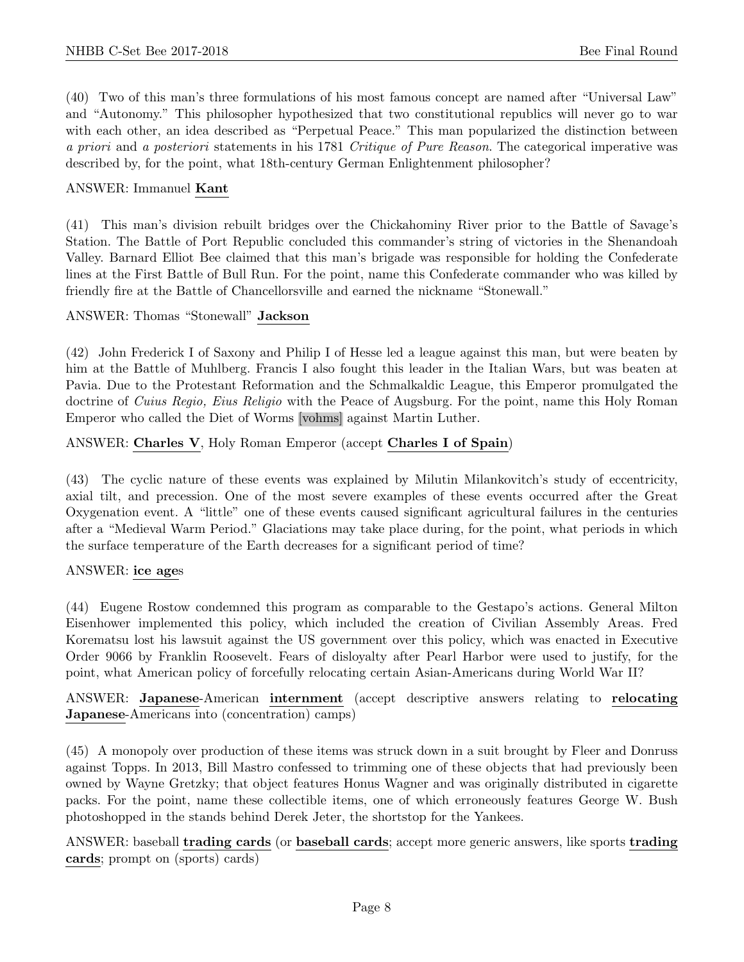(40) Two of this man's three formulations of his most famous concept are named after "Universal Law" and "Autonomy." This philosopher hypothesized that two constitutional republics will never go to war with each other, an idea described as "Perpetual Peace." This man popularized the distinction between a priori and a posteriori statements in his 1781 Critique of Pure Reason. The categorical imperative was described by, for the point, what 18th-century German Enlightenment philosopher?

#### ANSWER: Immanuel Kant

(41) This man's division rebuilt bridges over the Chickahominy River prior to the Battle of Savage's Station. The Battle of Port Republic concluded this commander's string of victories in the Shenandoah Valley. Barnard Elliot Bee claimed that this man's brigade was responsible for holding the Confederate lines at the First Battle of Bull Run. For the point, name this Confederate commander who was killed by friendly fire at the Battle of Chancellorsville and earned the nickname "Stonewall."

#### ANSWER: Thomas "Stonewall" Jackson

(42) John Frederick I of Saxony and Philip I of Hesse led a league against this man, but were beaten by him at the Battle of Muhlberg. Francis I also fought this leader in the Italian Wars, but was beaten at Pavia. Due to the Protestant Reformation and the Schmalkaldic League, this Emperor promulgated the doctrine of Cuius Regio, Eius Religio with the Peace of Augsburg. For the point, name this Holy Roman Emperor who called the Diet of Worms [vohms] against Martin Luther.

ANSWER: Charles V, Holy Roman Emperor (accept Charles I of Spain)

(43) The cyclic nature of these events was explained by Milutin Milankovitch's study of eccentricity, axial tilt, and precession. One of the most severe examples of these events occurred after the Great Oxygenation event. A "little" one of these events caused significant agricultural failures in the centuries after a "Medieval Warm Period." Glaciations may take place during, for the point, what periods in which the surface temperature of the Earth decreases for a significant period of time?

#### ANSWER: ice ages

(44) Eugene Rostow condemned this program as comparable to the Gestapo's actions. General Milton Eisenhower implemented this policy, which included the creation of Civilian Assembly Areas. Fred Korematsu lost his lawsuit against the US government over this policy, which was enacted in Executive Order 9066 by Franklin Roosevelt. Fears of disloyalty after Pearl Harbor were used to justify, for the point, what American policy of forcefully relocating certain Asian-Americans during World War II?

ANSWER: Japanese-American internment (accept descriptive answers relating to relocating Japanese-Americans into (concentration) camps)

(45) A monopoly over production of these items was struck down in a suit brought by Fleer and Donruss against Topps. In 2013, Bill Mastro confessed to trimming one of these objects that had previously been owned by Wayne Gretzky; that object features Honus Wagner and was originally distributed in cigarette packs. For the point, name these collectible items, one of which erroneously features George W. Bush photoshopped in the stands behind Derek Jeter, the shortstop for the Yankees.

ANSWER: baseball trading cards (or baseball cards; accept more generic answers, like sports trading cards; prompt on (sports) cards)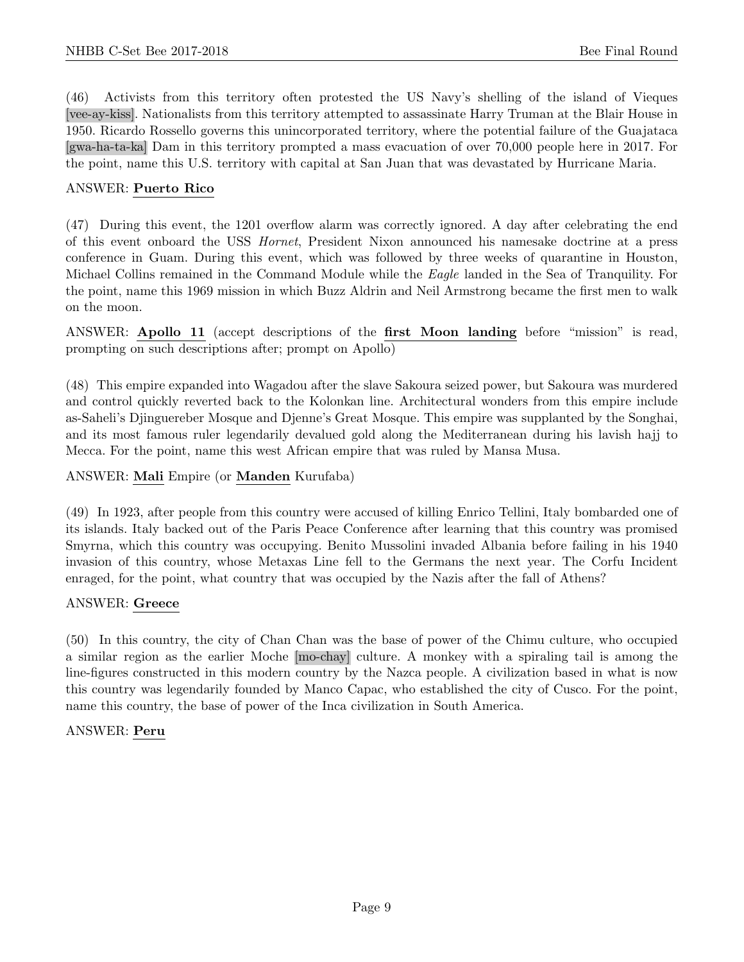(46) Activists from this territory often protested the US Navy's shelling of the island of Vieques [vee-ay-kiss]. Nationalists from this territory attempted to assassinate Harry Truman at the Blair House in 1950. Ricardo Rossello governs this unincorporated territory, where the potential failure of the Guajataca [gwa-ha-ta-ka] Dam in this territory prompted a mass evacuation of over 70,000 people here in 2017. For the point, name this U.S. territory with capital at San Juan that was devastated by Hurricane Maria.

#### ANSWER: Puerto Rico

(47) During this event, the 1201 overflow alarm was correctly ignored. A day after celebrating the end of this event onboard the USS Hornet, President Nixon announced his namesake doctrine at a press conference in Guam. During this event, which was followed by three weeks of quarantine in Houston, Michael Collins remained in the Command Module while the Eagle landed in the Sea of Tranquility. For the point, name this 1969 mission in which Buzz Aldrin and Neil Armstrong became the first men to walk on the moon.

ANSWER: Apollo 11 (accept descriptions of the first Moon landing before "mission" is read, prompting on such descriptions after; prompt on Apollo)

(48) This empire expanded into Wagadou after the slave Sakoura seized power, but Sakoura was murdered and control quickly reverted back to the Kolonkan line. Architectural wonders from this empire include as-Saheli's Djinguereber Mosque and Djenne's Great Mosque. This empire was supplanted by the Songhai, and its most famous ruler legendarily devalued gold along the Mediterranean during his lavish hajj to Mecca. For the point, name this west African empire that was ruled by Mansa Musa.

#### ANSWER: Mali Empire (or Manden Kurufaba)

(49) In 1923, after people from this country were accused of killing Enrico Tellini, Italy bombarded one of its islands. Italy backed out of the Paris Peace Conference after learning that this country was promised Smyrna, which this country was occupying. Benito Mussolini invaded Albania before failing in his 1940 invasion of this country, whose Metaxas Line fell to the Germans the next year. The Corfu Incident enraged, for the point, what country that was occupied by the Nazis after the fall of Athens?

#### ANSWER: Greece

(50) In this country, the city of Chan Chan was the base of power of the Chimu culture, who occupied a similar region as the earlier Moche [mo-chay] culture. A monkey with a spiraling tail is among the line-figures constructed in this modern country by the Nazca people. A civilization based in what is now this country was legendarily founded by Manco Capac, who established the city of Cusco. For the point, name this country, the base of power of the Inca civilization in South America.

#### ANSWER: Peru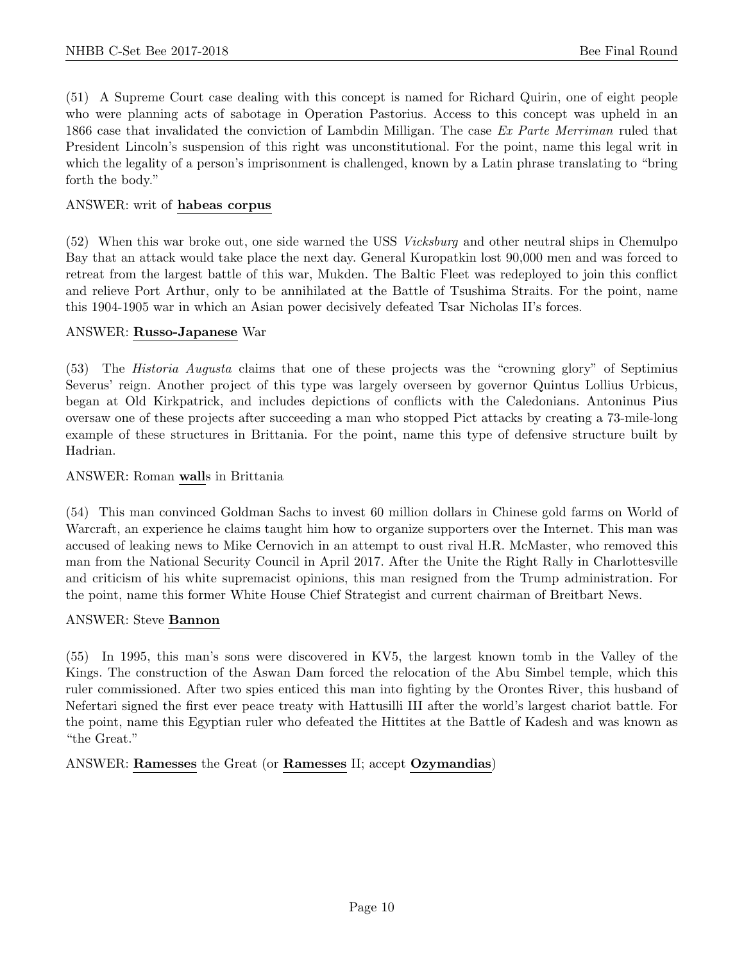(51) A Supreme Court case dealing with this concept is named for Richard Quirin, one of eight people who were planning acts of sabotage in Operation Pastorius. Access to this concept was upheld in an 1866 case that invalidated the conviction of Lambdin Milligan. The case Ex Parte Merriman ruled that President Lincoln's suspension of this right was unconstitutional. For the point, name this legal writ in which the legality of a person's imprisonment is challenged, known by a Latin phrase translating to "bring forth the body."

#### ANSWER: writ of habeas corpus

(52) When this war broke out, one side warned the USS Vicksburg and other neutral ships in Chemulpo Bay that an attack would take place the next day. General Kuropatkin lost 90,000 men and was forced to retreat from the largest battle of this war, Mukden. The Baltic Fleet was redeployed to join this conflict and relieve Port Arthur, only to be annihilated at the Battle of Tsushima Straits. For the point, name this 1904-1905 war in which an Asian power decisively defeated Tsar Nicholas II's forces.

#### ANSWER: Russo-Japanese War

(53) The Historia Augusta claims that one of these projects was the "crowning glory" of Septimius Severus' reign. Another project of this type was largely overseen by governor Quintus Lollius Urbicus, began at Old Kirkpatrick, and includes depictions of conflicts with the Caledonians. Antoninus Pius oversaw one of these projects after succeeding a man who stopped Pict attacks by creating a 73-mile-long example of these structures in Brittania. For the point, name this type of defensive structure built by Hadrian.

#### ANSWER: Roman walls in Brittania

(54) This man convinced Goldman Sachs to invest 60 million dollars in Chinese gold farms on World of Warcraft, an experience he claims taught him how to organize supporters over the Internet. This man was accused of leaking news to Mike Cernovich in an attempt to oust rival H.R. McMaster, who removed this man from the National Security Council in April 2017. After the Unite the Right Rally in Charlottesville and criticism of his white supremacist opinions, this man resigned from the Trump administration. For the point, name this former White House Chief Strategist and current chairman of Breitbart News.

#### ANSWER: Steve Bannon

(55) In 1995, this man's sons were discovered in KV5, the largest known tomb in the Valley of the Kings. The construction of the Aswan Dam forced the relocation of the Abu Simbel temple, which this ruler commissioned. After two spies enticed this man into fighting by the Orontes River, this husband of Nefertari signed the first ever peace treaty with Hattusilli III after the world's largest chariot battle. For the point, name this Egyptian ruler who defeated the Hittites at the Battle of Kadesh and was known as "the Great."

ANSWER: Ramesses the Great (or Ramesses II; accept Ozymandias)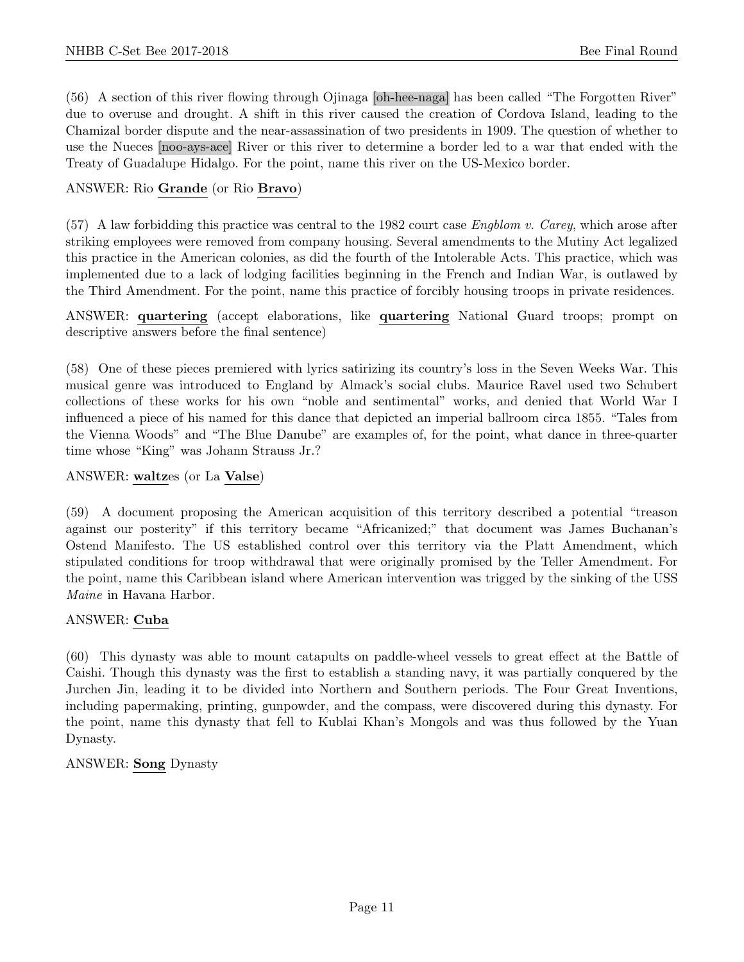(56) A section of this river flowing through Ojinaga [oh-hee-naga] has been called "The Forgotten River" due to overuse and drought. A shift in this river caused the creation of Cordova Island, leading to the Chamizal border dispute and the near-assassination of two presidents in 1909. The question of whether to use the Nueces [noo-ays-ace] River or this river to determine a border led to a war that ended with the Treaty of Guadalupe Hidalgo. For the point, name this river on the US-Mexico border.

#### ANSWER: Rio Grande (or Rio Bravo)

 $(57)$  A law forbidding this practice was central to the 1982 court case *Engblom v. Carey*, which arose after striking employees were removed from company housing. Several amendments to the Mutiny Act legalized this practice in the American colonies, as did the fourth of the Intolerable Acts. This practice, which was implemented due to a lack of lodging facilities beginning in the French and Indian War, is outlawed by the Third Amendment. For the point, name this practice of forcibly housing troops in private residences.

ANSWER: quartering (accept elaborations, like quartering National Guard troops; prompt on descriptive answers before the final sentence)

(58) One of these pieces premiered with lyrics satirizing its country's loss in the Seven Weeks War. This musical genre was introduced to England by Almack's social clubs. Maurice Ravel used two Schubert collections of these works for his own "noble and sentimental" works, and denied that World War I influenced a piece of his named for this dance that depicted an imperial ballroom circa 1855. "Tales from the Vienna Woods" and "The Blue Danube" are examples of, for the point, what dance in three-quarter time whose "King" was Johann Strauss Jr.?

#### ANSWER: waltzes (or La Valse)

(59) A document proposing the American acquisition of this territory described a potential "treason against our posterity" if this territory became "Africanized;" that document was James Buchanan's Ostend Manifesto. The US established control over this territory via the Platt Amendment, which stipulated conditions for troop withdrawal that were originally promised by the Teller Amendment. For the point, name this Caribbean island where American intervention was trigged by the sinking of the USS Maine in Havana Harbor.

#### ANSWER: Cuba

(60) This dynasty was able to mount catapults on paddle-wheel vessels to great effect at the Battle of Caishi. Though this dynasty was the first to establish a standing navy, it was partially conquered by the Jurchen Jin, leading it to be divided into Northern and Southern periods. The Four Great Inventions, including papermaking, printing, gunpowder, and the compass, were discovered during this dynasty. For the point, name this dynasty that fell to Kublai Khan's Mongols and was thus followed by the Yuan Dynasty.

#### ANSWER: Song Dynasty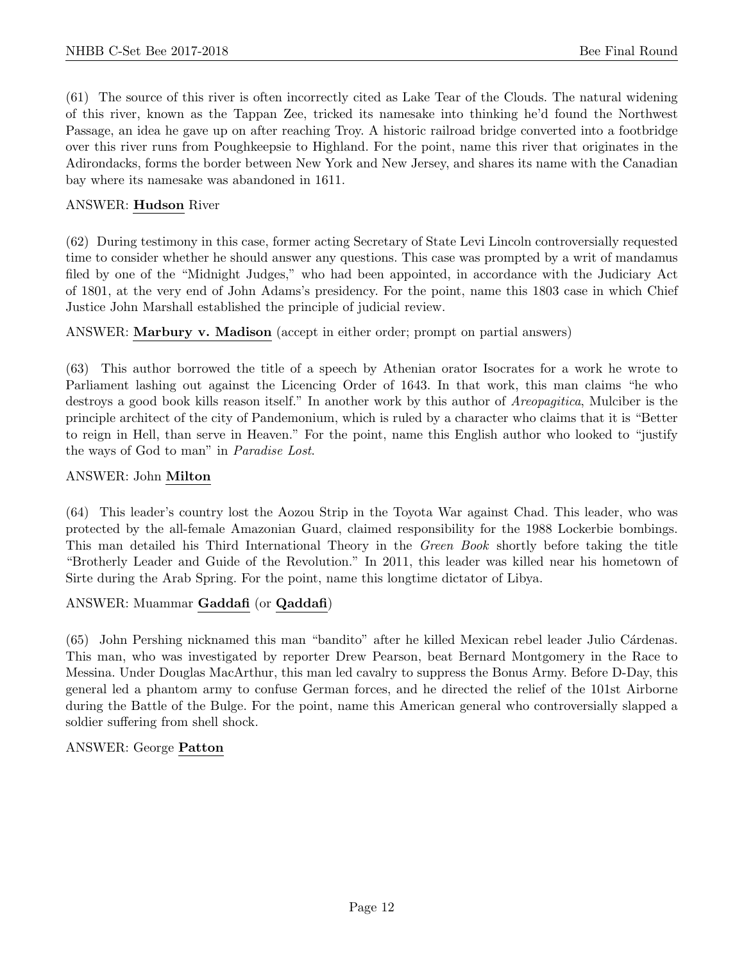(61) The source of this river is often incorrectly cited as Lake Tear of the Clouds. The natural widening of this river, known as the Tappan Zee, tricked its namesake into thinking he'd found the Northwest Passage, an idea he gave up on after reaching Troy. A historic railroad bridge converted into a footbridge over this river runs from Poughkeepsie to Highland. For the point, name this river that originates in the Adirondacks, forms the border between New York and New Jersey, and shares its name with the Canadian bay where its namesake was abandoned in 1611.

#### ANSWER: Hudson River

(62) During testimony in this case, former acting Secretary of State Levi Lincoln controversially requested time to consider whether he should answer any questions. This case was prompted by a writ of mandamus filed by one of the "Midnight Judges," who had been appointed, in accordance with the Judiciary Act of 1801, at the very end of John Adams's presidency. For the point, name this 1803 case in which Chief Justice John Marshall established the principle of judicial review.

ANSWER: Marbury v. Madison (accept in either order; prompt on partial answers)

(63) This author borrowed the title of a speech by Athenian orator Isocrates for a work he wrote to Parliament lashing out against the Licencing Order of 1643. In that work, this man claims "he who destroys a good book kills reason itself." In another work by this author of Areopagitica, Mulciber is the principle architect of the city of Pandemonium, which is ruled by a character who claims that it is "Better to reign in Hell, than serve in Heaven." For the point, name this English author who looked to "justify the ways of God to man" in Paradise Lost.

#### ANSWER: John Milton

(64) This leader's country lost the Aozou Strip in the Toyota War against Chad. This leader, who was protected by the all-female Amazonian Guard, claimed responsibility for the 1988 Lockerbie bombings. This man detailed his Third International Theory in the Green Book shortly before taking the title "Brotherly Leader and Guide of the Revolution." In 2011, this leader was killed near his hometown of Sirte during the Arab Spring. For the point, name this longtime dictator of Libya.

#### ANSWER: Muammar Gaddafi (or Qaddafi)

(65) John Pershing nicknamed this man "bandito" after he killed Mexican rebel leader Julio Cárdenas. This man, who was investigated by reporter Drew Pearson, beat Bernard Montgomery in the Race to Messina. Under Douglas MacArthur, this man led cavalry to suppress the Bonus Army. Before D-Day, this general led a phantom army to confuse German forces, and he directed the relief of the 101st Airborne during the Battle of the Bulge. For the point, name this American general who controversially slapped a soldier suffering from shell shock.

#### ANSWER: George Patton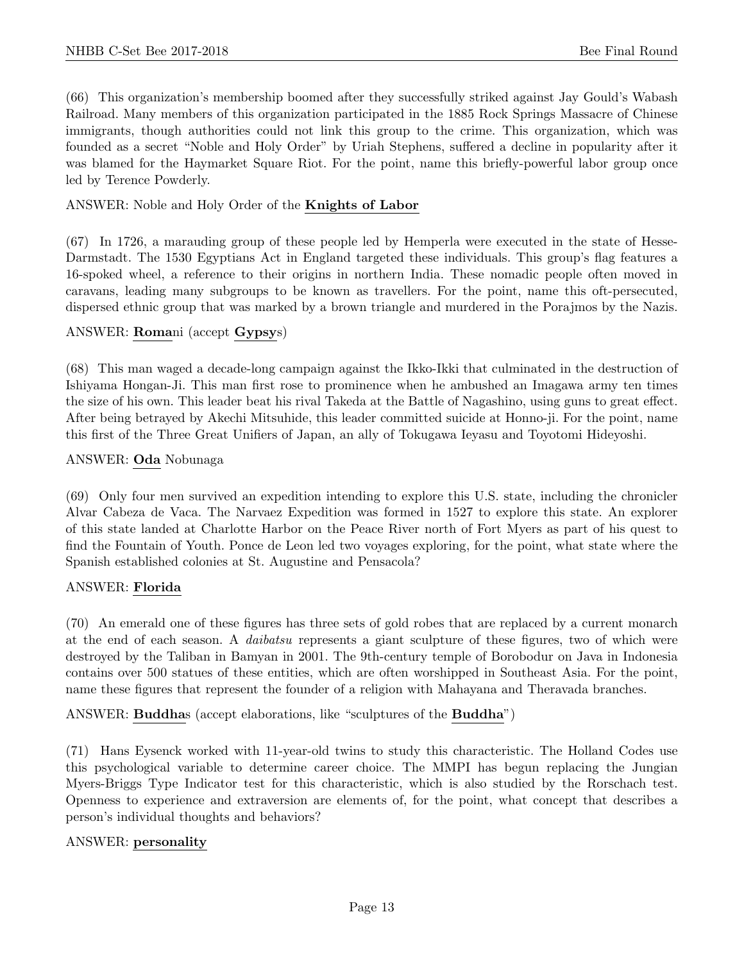(66) This organization's membership boomed after they successfully striked against Jay Gould's Wabash Railroad. Many members of this organization participated in the 1885 Rock Springs Massacre of Chinese immigrants, though authorities could not link this group to the crime. This organization, which was founded as a secret "Noble and Holy Order" by Uriah Stephens, suffered a decline in popularity after it was blamed for the Haymarket Square Riot. For the point, name this briefly-powerful labor group once led by Terence Powderly.

# ANSWER: Noble and Holy Order of the Knights of Labor

(67) In 1726, a marauding group of these people led by Hemperla were executed in the state of Hesse-Darmstadt. The 1530 Egyptians Act in England targeted these individuals. This group's flag features a 16-spoked wheel, a reference to their origins in northern India. These nomadic people often moved in caravans, leading many subgroups to be known as travellers. For the point, name this oft-persecuted, dispersed ethnic group that was marked by a brown triangle and murdered in the Porajmos by the Nazis.

#### ANSWER: Romani (accept Gypsys)

(68) This man waged a decade-long campaign against the Ikko-Ikki that culminated in the destruction of Ishiyama Hongan-Ji. This man first rose to prominence when he ambushed an Imagawa army ten times the size of his own. This leader beat his rival Takeda at the Battle of Nagashino, using guns to great effect. After being betrayed by Akechi Mitsuhide, this leader committed suicide at Honno-ji. For the point, name this first of the Three Great Unifiers of Japan, an ally of Tokugawa Ieyasu and Toyotomi Hideyoshi.

#### ANSWER: Oda Nobunaga

(69) Only four men survived an expedition intending to explore this U.S. state, including the chronicler Alvar Cabeza de Vaca. The Narvaez Expedition was formed in 1527 to explore this state. An explorer of this state landed at Charlotte Harbor on the Peace River north of Fort Myers as part of his quest to find the Fountain of Youth. Ponce de Leon led two voyages exploring, for the point, what state where the Spanish established colonies at St. Augustine and Pensacola?

#### ANSWER: Florida

(70) An emerald one of these figures has three sets of gold robes that are replaced by a current monarch at the end of each season. A daibatsu represents a giant sculpture of these figures, two of which were destroyed by the Taliban in Bamyan in 2001. The 9th-century temple of Borobodur on Java in Indonesia contains over 500 statues of these entities, which are often worshipped in Southeast Asia. For the point, name these figures that represent the founder of a religion with Mahayana and Theravada branches.

ANSWER: Buddhas (accept elaborations, like "sculptures of the Buddha")

(71) Hans Eysenck worked with 11-year-old twins to study this characteristic. The Holland Codes use this psychological variable to determine career choice. The MMPI has begun replacing the Jungian Myers-Briggs Type Indicator test for this characteristic, which is also studied by the Rorschach test. Openness to experience and extraversion are elements of, for the point, what concept that describes a person's individual thoughts and behaviors?

#### ANSWER: personality